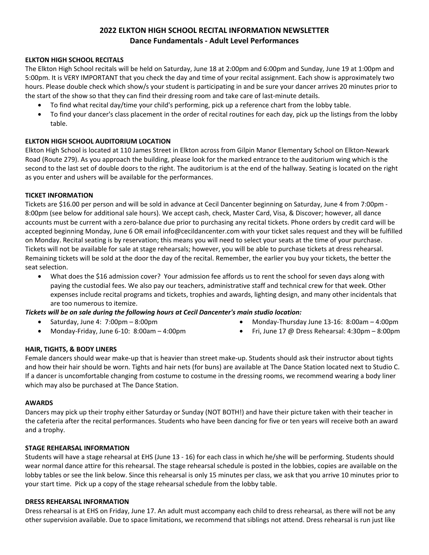# **2022 ELKTON HIGH SCHOOL RECITAL INFORMATION NEWSLETTER Dance Fundamentals - Adult Level Performances**

## **ELKTON HIGH SCHOOL RECITALS**

The Elkton High School recitals will be held on Saturday, June 18 at 2:00pm and 6:00pm and Sunday, June 19 at 1:00pm and 5:00pm. It is VERY IMPORTANT that you check the day and time of your recital assignment. Each show is approximately two hours. Please double check which show/s your student is participating in and be sure your dancer arrives 20 minutes prior to the start of the show so that they can find their dressing room and take care of last-minute details.

- To find what recital day/time your child's performing, pick up a reference chart from the lobby table.
- To find your dancer's class placement in the order of recital routines for each day, pick up the listings from the lobby table.

## **ELKTON HIGH SCHOOL AUDITORIUM LOCATION**

Elkton High School is located at 110 James Street in Elkton across from Gilpin Manor Elementary School on Elkton-Newark Road (Route 279). As you approach the building, please look for the marked entrance to the auditorium wing which is the second to the last set of double doors to the right. The auditorium is at the end of the hallway. Seating is located on the right as you enter and ushers will be available for the performances.

## **TICKET INFORMATION**

Tickets are \$16.00 per person and will be sold in advance at Cecil Dancenter beginning on Saturday, June 4 from 7:00pm - 8:00pm (see below for additional sale hours). We accept cash, check, Master Card, Visa, & Discover; however, all dance accounts must be current with a zero-balance due prior to purchasing any recital tickets. Phone orders by credit card will be accepted beginning Monday, June 6 OR email info@cecildancenter.com with your ticket sales request and they will be fulfilled on Monday. Recital seating is by reservation; this means you will need to select your seats at the time of your purchase. Tickets will not be available for sale at stage rehearsals; however, you will be able to purchase tickets at dress rehearsal. Remaining tickets will be sold at the door the day of the recital. Remember, the earlier you buy your tickets, the better the seat selection.

• What does the \$16 admission cover? Your admission fee affords us to rent the school for seven days along with paying the custodial fees. We also pay our teachers, administrative staff and technical crew for that week. Other expenses include recital programs and tickets, trophies and awards, lighting design, and many other incidentals that are too numerous to itemize.

*Tickets will be on sale during the following hours at Cecil Dancenter's main studio location:* 

- Saturday, June 4:  $7:00 \text{pm} 8:00 \text{pm}$
- Monday-Friday, June 6-10: 8:00am 4:00pm
- Monday-Thursday June 13-16: 8:00am 4:00pm
- Fri, June 17 @ Dress Rehearsal: 4:30pm 8:00pm

## **HAIR, TIGHTS, & BODY LINERS**

Female dancers should wear make-up that is heavier than street make-up. Students should ask their instructor about tights and how their hair should be worn. Tights and hair nets (for buns) are available at The Dance Station located next to Studio C. If a dancer is uncomfortable changing from costume to costume in the dressing rooms, we recommend wearing a body liner which may also be purchased at The Dance Station.

#### **AWARDS**

Dancers may pick up their trophy either Saturday or Sunday (NOT BOTH!) and have their picture taken with their teacher in the cafeteria after the recital performances. Students who have been dancing for five or ten years will receive both an award and a trophy.

#### **STAGE REHEARSAL INFORMATION**

Students will have a stage rehearsal at EHS (June 13 - 16) for each class in which he/she will be performing. Students should wear normal dance attire for this rehearsal. The stage rehearsal schedule is posted in the lobbies, copies are available on the lobby tables or see the link below. Since this rehearsal is only 15 minutes per class, we ask that you arrive 10 minutes prior to your start time. Pick up a copy of the stage rehearsal schedule from the lobby table.

#### **DRESS REHEARSAL INFORMATION**

Dress rehearsal is at EHS on Friday, June 17. An adult must accompany each child to dress rehearsal, as there will not be any other supervision available. Due to space limitations, we recommend that siblings not attend. Dress rehearsal is run just like